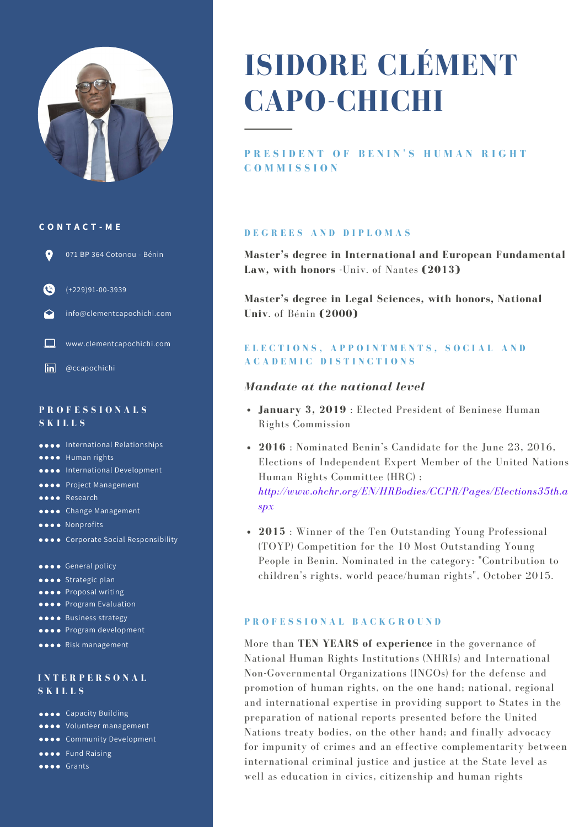

#### **C O N T A C T - M E**



 $\bullet$ (+229)91-00-3939

info@clementcapochichi.com

www.clementcapochichi.com

 $\overline{\mathsf{in}}$ @ccapochichi

#### **P R O F E S S I O N A L S S K I L L S**

**ODOO** International Relationships

- **OOOO** Human rights
- **ODOO** International Development
- **OOOO** Project Management
- **OOOO** Research
- **OBOO** Change Management
- **OOOO** Nonprofits
- **ORCO.** Corporate Social Responsibility
- **CODE** General policy
- **OOOO** Strategic plan
- $\bullet \bullet \bullet$  Proposal writing
- **OOOO** Program Evaluation
- **OOOO** Business strategy
- **OOOO** Program development
- **OOOO** Risk management

#### **I N T E R P E R S O N A L S K I L L S**

- **esse** Capacity Building
- **volunteer** management
- **Community Development**
- **OOOO** Fund Raising
- **OOOO** Grants

# **ISIDORE CLÉMENT CAPO-CHICHI**

# PRESIDENT OF BENIN'S HUMAN RIGHT **C O M M I S S I O N**

#### **D E G R E E S A N D D I P L O M A S**

**Master's degree in International and European Fundamental Law, with honors** -Univ. of Nantes **(2013)**

**Master's degree in Legal Sciences, with honors, National Univ**. of Bénin **(2000)**

## ELECTIONS, APPOINTMENTS, SOCIAL AND **A C A D E M I C D I S T I N C T I O N S**

#### *Mandate at the national level*

- **January 3, 2019** : Elected President of Beninese Human Rights Commission
- **2016** : Nominated Benin's Candidate for the June 23, 2016, Elections of Independent Expert Member of the United Nations Human Rights Committee (HRC) ; *http://www.ohchr.org/EN/HRBodies/CCPR/Pages/Elections35th.a spx*
- **2015** : Winner of the Ten Outstanding Young Professional (TOYP) Competition for the 10 Most Outstanding Young People in Benin. Nominated in the category: "Contribution to children's rights, world peace/human rights", October 2015.

#### **P R O F E S S I O N A L B A C K G R O U N D**

More than **TEN YEARS of experience** in the governance of National Human Rights Institutions (NHRIs) and International Non-Governmental Organizations (INGOs) for the defense and promotion of human rights, on the one hand; national, regional and international expertise in providing support to States in the preparation of national reports presented before the United Nations treaty bodies, on the other hand; and finally advocacy for impunity of crimes and an effective complementarity between international criminal justice and justice at the State level as well as education in civics, citizenship and human rights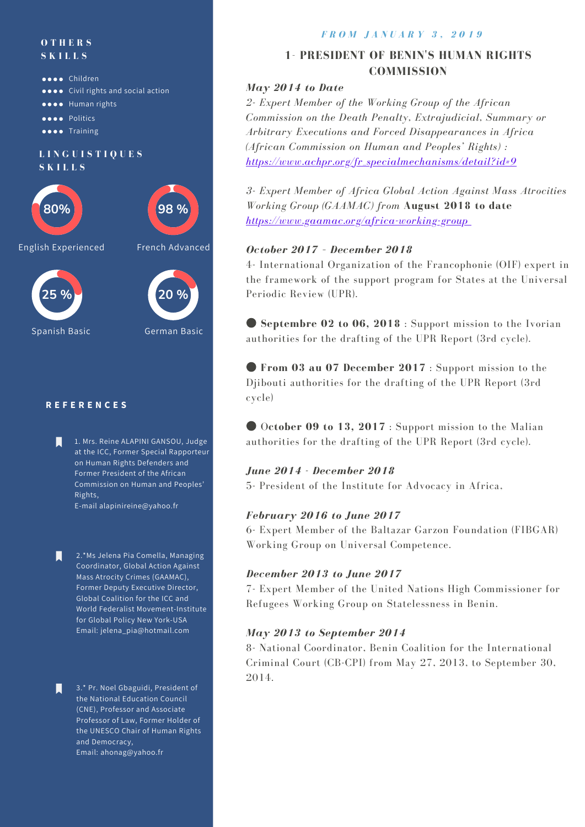#### **O T H E R S S K I L L S**



Spanish Basic German Basic

## **R E F E R E N C E S**

Ы

П

Ы

1. Mrs. Reine ALAPINI GANSOU, Judge at the ICC, Former Special Rapporteur on Human Rights Defenders and Former President of the African Commission on Human and Peoples' Rights, E-mail alapinireine@yahoo.fr

2.\*Ms Jelena Pia Comella, Managing Coordinator, Global Action Against Mass Atrocity Crimes (GAAMAC), Former Deputy Executive Director, Global Coalition for the ICC and World Federalist Movement-Institute for Global Policy New York-USA Email: jelena\_pia@hotmail.com

3.\* Pr. Noel Gbaguidi, President of the National Education Council (CNE), Professor and Associate Professor of Law, Former Holder of the UNESCO Chair of Human Rights and Democracy, Email: ahonag@yahoo.fr

#### *F R O M J A N U A R Y 3 , 2 0 1 9*

# **1- PRESIDENT OF BENIN'S HUMAN RIGHTS COMMISSION**

## *May 2014 to Date*

*2- Expert Member of the Working Group of the African Commission on the Death Penalty, Extrajudicial, Summary or Arbitrary Executions and Forced Disappearances in Africa (African Commission on Human and Peoples' Rights) : [https://www.achpr.org/fr\\_specialmechanisms/detail?id=9](https://www.achpr.org/fr_specialmechanisms/detail?id=9)*

*3- Expert Member of Africa Global Action Against Mass Atrocities Working Group (GAAMAC) from* **August 2018 to date 98 %** *<https://www.gaamac.org/africa-working-group>*

## *October 2017 – December 2018*

4- International Organization of the Francophonie (OIF) expert in the framework of the support program for States at the Universal

● **Septembre 02 to 06, 2018** : Support mission to the Ivorian authorities for the drafting of the UPR Report (3rd cycle).

● **From 03 au 07 December 2017** : Support mission to the Djibouti authorities for the drafting of the UPR Report (3rd cycle)

● O**ctober 09 to 13, 2017** : Support mission to the Malian authorities for the drafting of the UPR Report (3rd cycle).

#### *June 2014 - December 2018*

5- President of the Institute for Advocacy in Africa,

#### *February 2016 to June 2017*

6- Expert Member of the Baltazar Garzon Foundation (FIBGAR) Working Group on Universal Competence.

#### *December 2013 to June 2017*

7- Expert Member of the United Nations High Commissioner for Refugees Working Group on Statelessness in Benin.

#### *May 2013 to September 2014*

8- National Coordinator, Benin Coalition for the International Criminal Court (CB-CPI) from May 27, 2013, to September 30, 2014.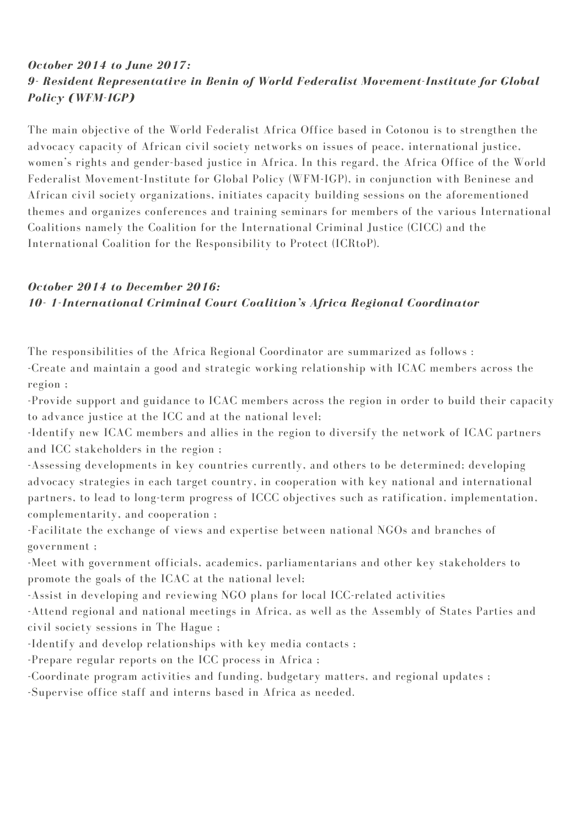# *October 2014 to June 2017: 9- Resident Representative in Benin of World Federalist Movement-Institute for Global Policy (WFM-IGP)*

The main objective of the World Federalist Africa Office based in Cotonou is to strengthen the advocacy capacity of African civil society networks on issues of peace, international justice, women's rights and gender-based justice in Africa. In this regard, the Africa Office of the World Federalist Movement-Institute for Global Policy (WFM-IGP), in conjunction with Beninese and African civil society organizations, initiates capacity building sessions on the aforementioned themes and organizes conferences and training seminars for members of the various International Coalitions namely the Coalition for the International Criminal Justice (CICC) and the International Coalition for the Responsibility to Protect (ICRtoP).

# *October 2014 to December 2016: 10- 1-International Criminal Court Coalition's Africa Regional Coordinator*

The responsibilities of the Africa Regional Coordinator are summarized as follows : -Create and maintain a good and strategic working relationship with ICAC members across the region ;

-Provide support and guidance to ICAC members across the region in order to build their capacity to advance justice at the ICC and at the national level;

-Identify new ICAC members and allies in the region to diversify the network of ICAC partners and ICC stakeholders in the region ;

-Assessing developments in key countries currently, and others to be determined; developing advocacy strategies in each target country, in cooperation with key national and international partners, to lead to long-term progress of ICCC objectives such as ratification, implementation, complementarity, and cooperation ;

-Facilitate the exchange of views and expertise between national NGOs and branches of government ;

-Meet with government officials, academics, parliamentarians and other key stakeholders to promote the goals of the ICAC at the national level;

-Assist in developing and reviewing NGO plans for local ICC-related activities

-Attend regional and national meetings in Africa, as well as the Assembly of States Parties and civil society sessions in The Hague ;

-Identify and develop relationships with key media contacts ;

-Prepare regular reports on the ICC process in Africa ;

-Coordinate program activities and funding, budgetary matters, and regional updates ;

-Supervise office staff and interns based in Africa as needed.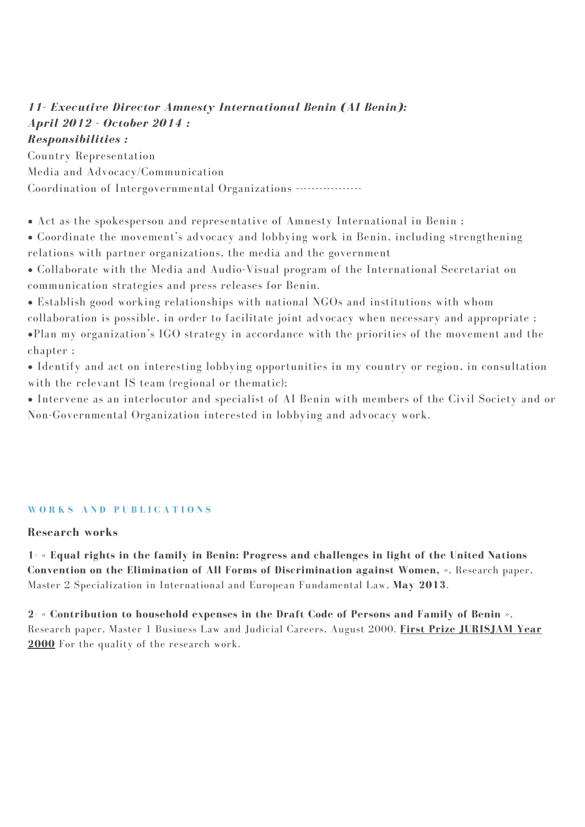# *11- Executive Director Amnesty International Benin (AI Benin): April 2012 – October 2014 : Responsibilities :*

Country Representation Media and Advocacy/Communication Coordination of Intergovernmental Organizations -----------------

• Act as the spokesperson and representative of Amnesty International in Benin ;

• Coordinate the movement's advocacy and lobbying work in Benin, including strengthening relations with partner organizations, the media and the government

• Collaborate with the Media and Audio-Visual program of the International Secretariat on communication strategies and press releases for Benin.

• Establish good working relationships with national NGOs and institutions with whom collaboration is possible, in order to facilitate joint advocacy when necessary and appropriate ; •Plan my organization's IGO strategy in accordance with the priorities of the movement and the chapter ;

• Identify and act on interesting lobbying opportunities in my country or region, in consultation with the relevant IS team (regional or thematic);

• Intervene as an interlocutor and specialist of AI Benin with members of the Civil Society and or Non-Governmental Organization interested in lobbying and advocacy work.

# **W O R K S A N D P U B L I C A T I O N S**

# **Research works**

**1- « Equal rights in the family in Benin: Progress and challenges in light of the United Nations Convention on the Elimination of All Forms of Discrimination against Women, »**, Research paper, Master 2 Specialization in International and European Fundamental Law, **May 2013**.

**2- « Contribution to household expenses in the Draft Code of Persons and Family of Benin »**, Research paper, Master 1 Business Law and Judicial Careers, August 2000. **First Prize JURISJAM Year 2000** For the quality of the research work.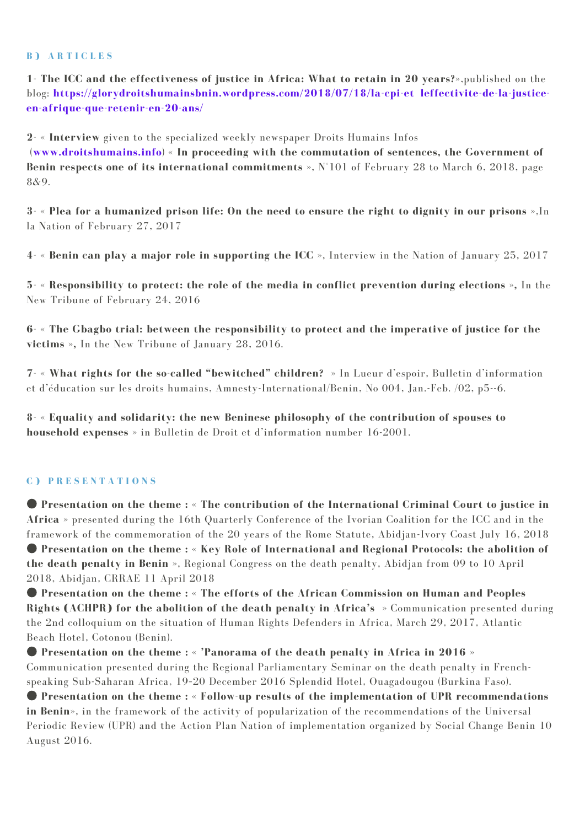#### **B ) A R T I C L E S**

**1- The ICC and the effectiveness of justice in Africa: What to retain in 20 years?»**,published on the blog: **https://glorydroitshumainsbnin.wordpress.com/2018/07/18/la-cpi-et leffectivite-de-la-justiceen-afrique-que-retenir-en-20-ans/**

**2- « Interview** given to the specialized weekly newspaper Droits Humains Infos

(**www.droitshumains.info**) **« In proceeding with the commutation of sentences, the Government of Benin respects one of its international commitments »**, N°101 of February 28 to March 6, 2018, page 8&9.

3- « Plea for a humanized prison life: On the need to ensure the right to dignity in our prisons », In la Nation of February 27, 2017

**4- « Benin can play a major role in supporting the ICC »**, Interview in the Nation of January 25, 2017

**5- « Responsibility to protect: the role of the media in conflict prevention during elections »,** In the New Tribune of February 24, 2016

**6- « The Gbagbo trial: between the responsibility to protect and the imperative of justice for the victims »,** In the New Tribune of January 28, 2016.

**7- « What rights for the so-called "bewitched" children? »** In Lueur d'espoir, Bulletin d'information et d'éducation sur les droits humains, Amnesty-International/Benin, No 004, Jan.-Feb. /02, p5--6.

**8- « Equality and solidarity: the new Beninese philosophy of the contribution of spouses to household expenses »** in Bulletin de Droit et d'information number 16-2001.

# **C ) P R E S E N T A T I O N S**

● **Presentation on the theme : « The contribution of the International Criminal Court to justice in Africa »** presented during the 16th Quarterly Conference of the Ivorian Coalition for the ICC and in the framework of the commemoration of the 20 years of the Rome Statute, Abidjan-Ivory Coast July 16, 2018 ● **Presentation on the theme : « Key Role of International and Regional Protocols: the abolition of the death penalty in Benin »**, Regional Congress on the death penalty, Abidjan from 09 to 10 April 2018, Abidjan, CRRAE 11 April 2018

● **Presentation on the theme : « The efforts of the African Commission on Human and Peoples Rights (ACHPR) for the abolition of the death penalty in Africa's »** Communication presented during the 2nd colloquium on the situation of Human Rights Defenders in Africa, March 29, 2017, Atlantic Beach Hotel, Cotonou (Benin).

● **Presentation on the theme : « 'Panorama of the death penalty in Africa in 2016 »** Communication presented during the Regional Parliamentary Seminar on the death penalty in Frenchspeaking Sub-Saharan Africa, 19–20 December 2016 Splendid Hotel, Ouagadougou (Burkina Faso).

● **Presentation on the theme : « Follow-up results of the implementation of UPR recommendations in Benin»**, in the framework of the activity of popularization of the recommendations of the Universal Periodic Review (UPR) and the Action Plan Nation of implementation organized by Social Change Benin 10 August 2016.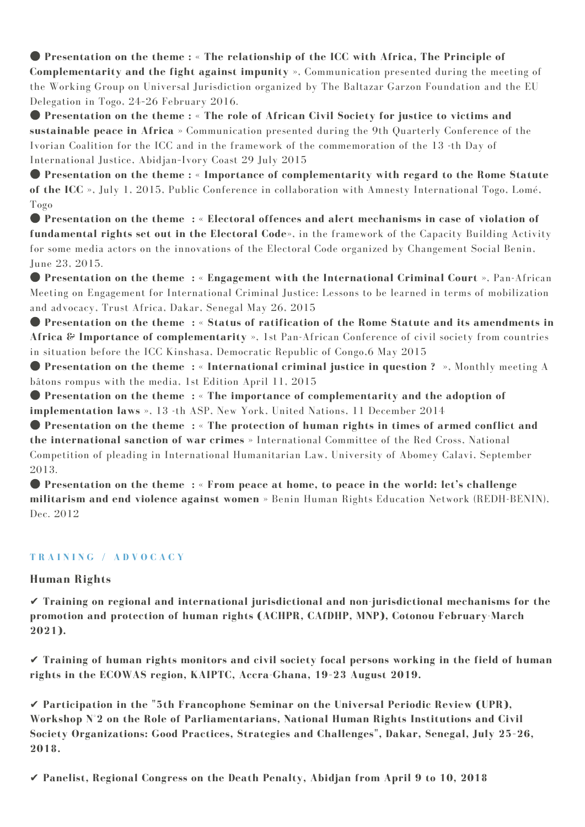● **Presentation on the theme : « The relationship of the ICC with Africa, The Principle of Complementarity and the fight against impunity »**, Communication presented during the meeting of the Working Group on Universal Jurisdiction organized by The Baltazar Garzon Foundation and the EU Delegation in Togo, 24–26 February 2016.

● **Presentation on the theme : « The role of African Civil Society for justice to victims and sustainable peace in Africa »** Communication presented during the 9th Quarterly Conference of the Ivorian Coalition for the ICC and in the framework of the commemoration of the 13 -th Day of International Justice, Abidjan–Ivory Coast 29 July 2015

● **Presentation on the theme : « Importance of complementarity with regard to the Rome Statute of the ICC »**, July 1, 2015, Public Conference in collaboration with Amnesty International Togo, Lomé, Togo

● **Presentation on the theme : « Electoral offences and alert mechanisms in case of violation of fundamental rights set out in the Electoral Code»**, in the framework of the Capacity Building Activity for some media actors on the innovations of the Electoral Code organized by Changement Social Benin, June 23, 2015.

● **Presentation on the theme : « Engagement with the International Criminal Court »**, Pan-African Meeting on Engagement for International Criminal Justice: Lessons to be learned in terms of mobilization and advocacy, Trust Africa, Dakar, Senegal May 26, 2015

● **Presentation on the theme : « Status of ratification of the Rome Statute and its amendments in Africa & Importance of complementarity »**, 1st Pan-African Conference of civil society from countries in situation before the ICC Kinshasa, Democratic Republic of Congo,6 May 2015

● **Presentation on the theme : « International criminal justice in question ? »**, Monthly meeting A bâtons rompus with the media, 1st Edition April 11, 2015

● **Presentation on the theme : « The importance of complementarity and the adoption of implementation laws »**, 13 -th ASP, New York, United Nations, 11 December 2014

● **Presentation on the theme : « The protection of human rights in times of armed conflict and the international sanction of war crimes »** International Committee of the Red Cross, National Competition of pleading in International Humanitarian Law, University of Abomey Calavi, September 2013.

● **Presentation on the theme : « From peace at home, to peace in the world: let's challenge militarism and end violence against women »** Benin Human Rights Education Network (REDH-BENIN), Dec. 2012

## **T R A I N I N G / A D V O C A C Y**

# **Human Rights**

✔ **Training on regional and international jurisdictional and non-jurisdictional mechanisms for the promotion and protection of human rights (ACHPR, CAfDHP, MNP), Cotonou February-March 2021).**

✔ **Training of human rights monitors and civil society focal persons working in the field of human rights in the ECOWAS region, KAIPTC, Accra-Ghana, 19–23 August 2019.**

✔ **Participation in the "5th Francophone Seminar on the Universal Periodic Review (UPR), Workshop N°2 on the Role of Parliamentarians, National Human Rights Institutions and Civil Society Organizations: Good Practices, Strategies and Challenges", Dakar, Senegal, July 25–26, 2018.**

✔ **Panelist, Regional Congress on the Death Penalty, Abidjan from April 9 to 10, 2018**